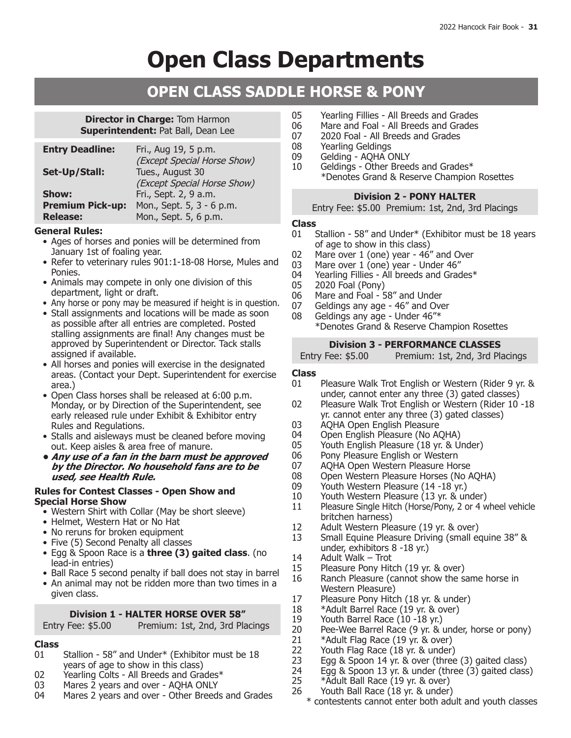# **Open Class Departments**

## **OPEN CLASS SADDLE HORSE & PONY**

### **Director in Charge:** Tom Harmon **Superintendent: Pat Ball, Dean Lee**

| <b>Entry Deadline:</b>  | Fri., Aug 19, 5 p.m.        |
|-------------------------|-----------------------------|
|                         | (Except Special Horse Show) |
| Set-Up/Stall:           | Tues., August 30            |
|                         | (Except Special Horse Show) |
| Show:                   | Fri., Sept. 2, 9 a.m.       |
| <b>Premium Pick-up:</b> | Mon., Sept. 5, 3 - 6 p.m.   |
| <b>Release:</b>         | Mon., Sept. 5, 6 p.m.       |
|                         |                             |

### **General Rules:**

- Ages of horses and ponies will be determined from January 1st of foaling year.
- Refer to veterinary rules 901:1-18-08 Horse, Mules and Ponies.
- Animals may compete in only one division of this department, light or draft.
- Any horse or pony may be measured if height is in question.
- Stall assignments and locations will be made as soon as possible after all entries are completed. Posted stalling assignments are final! Any changes must be approved by Superintendent or Director. Tack stalls assigned if available.
- All horses and ponies will exercise in the designated areas. (Contact your Dept. Superintendent for exercise area.)
- Open Class horses shall be released at 6:00 p.m. Monday, or by Direction of the Superintendent, see early released rule under Exhibit & Exhibitor entry Rules and Regulations.
- Stalls and aisleways must be cleaned before moving out. Keep aisles & area free of manure.
- **• Any use of a fan in the barn must be approved by the Director. No household fans are to be used, see Health Rule.**

#### **Rules for Contest Classes - Open Show and Special Horse Show**

- Western Shirt with Collar (May be short sleeve)
- Helmet, Western Hat or No Hat
- No reruns for broken equipment
- Five (5) Second Penalty all classes
- • Egg & Spoon Race is a **three (3) gaited class**. (no lead-in entries)
- Ball Race 5 second penalty if ball does not stay in barrel
- An animal may not be ridden more than two times in a given class.

## **Division 1 - HALTER HORSE OVER 58"**

## Entry Fee: \$5.00 Premium: 1st, 2nd, 3rd Placings

## **Class**

- Stallion 58" and Under\* (Exhibitor must be 18 years of age to show in this class)
- 02 Yearling Colts All Breeds and Grades\*<br>03 Mares 2 years and over AOHA ONLY
- 03 Mares 2 years and over AQHA ONLY<br>04 Mares 2 years and over Other Breed:
- Mares 2 years and over Other Breeds and Grades
- 05 Yearling Fillies All Breeds and Grades<br>06 Mare and Foal All Breeds and Grades
- 06 Mare and Foal All Breeds and Grades<br>07 2020 Foal All Breeds and Grades
- 07 2020 Foal All Breeds and Grades<br>08 Yearling Geldings
- 08 Yearling Geldings<br>09 Gelding AOHA C
- Gelding AQHA ONLY
- 10 Geldings Other Breeds and Grades\* \*Denotes Grand & Reserve Champion Rosettes

## **Division 2 - PONY HALTER**

Entry Fee: \$5.00 Premium: 1st, 2nd, 3rd Placings

### **Class**

- 01 Stallion 58" and Under\* (Exhibitor must be 18 years of age to show in this class)
- 02 Mare over 1 (one) year 46" and Over
- 
- 03 Mare over 1 (one) year Under 46"<br>04 Yearling Fillies All breeds and Grad 04 Yearling Fillies - All breeds and Grades $*$ <br>05 2020 Foal (Pony)
- 05 2020 Foal (Pony)
- 06 Mare and Foal 58" and Under<br>07 Geldings any age 46" and Ove
- 07 Geldings any age 46" and Over 08 Geldings any age Under  $46$ "\*
	- Geldings any age Under 46"\* \*Denotes Grand & Reserve Champion Rosettes

## **Division 3 - PERFORMANCE CLASSES**<br>Entry Fee: \$5.00 Premium: 1st, 2nd, 3rd Pla

Premium: 1st, 2nd, 3rd Placings

## **Class**

- Pleasure Walk Trot English or Western (Rider 9 yr. & under, cannot enter any three (3) gated classes)
- 02 Pleasure Walk Trot English or Western (Rider 10 -18 yr. cannot enter any three (3) gated classes)
- 03 AQHA Open English Pleasure<br>04 Open English Pleasure (No AQ
- 04 Open English Pleasure (No AQHA)<br>05 Youth English Pleasure (18 vr. & U
- 05 Youth English Pleasure (18 yr. & Under)<br>06 Pony Pleasure English or Western
- 06 Pony Pleasure English or Western<br>07 AOHA Open Western Pleasure Hor
- 07 AQHA Open Western Pleasure Horse<br>08 Open Western Pleasure Horses (No A
- 08 Open Western Pleasure Horses (No AQHA)<br>09 Youth Western Pleasure (14 -18 yr.)
- 09 Youth Western Pleasure (14 -18 yr.)<br>10 Youth Western Pleasure (13 yr. & un
- 10 Youth Western Pleasure (13 yr. & under)<br>11 Pleasure Single Hitch (Horse/Pony, 2 or 4 w
- Pleasure Single Hitch (Horse/Pony, 2 or 4 wheel vehicle britchen harness)
- 12 Adult Western Pleasure (19 yr. & over)<br>13 Small Equine Pleasure Driving (small eq
- Small Equine Pleasure Driving (small equine 38" & under, exhibitors 8 -18 yr.)
- 14 Adult Walk Trot<br>15 Pleasure Pony Hite
- 15 Pleasure Pony Hitch (19 yr. & over)<br>16 Ranch Pleasure (cannot show the sa
- Ranch Pleasure (cannot show the same horse in Western Pleasure)
- 17 Pleasure Pony Hitch (18 yr. & under)<br>18 \*Adult Barrel Race (19 yr. & over)
- 18 \*Adult Barrel Race (19 yr. & over)<br>19 Youth Barrel Race (10 -18 yr.)
- 19 Youth Barrel Race (10 -18 yr.)<br>20 Pee-Wee Barrel Race (9 yr. & i
- 20 Pee-Wee Barrel Race (9 yr.  $\&$  under, horse or pony)<br>21 \*Adult Flag Race (19 yr.  $\&$  over)
- 21 \*Adult Flag Race (19 yr. & over)<br>22 Youth Flag Race (18 yr. & under)
- 22 Youth Flag Race (18 yr. & under)<br>23 Egg & Spoon 14 yr. & over (three
- 23 Egg & Spoon 14 yr. & over (three (3) gaited class)
- 24 Egg & Spoon 13 yr. & under (three (3) gaited class)
- 25 \*Adult Ball Race (19 yr. & over)<br>26 Youth Ball Race (18 yr. & under) Youth Ball Race (18 yr. & under)
	- \* contestents cannot enter both adult and youth classes